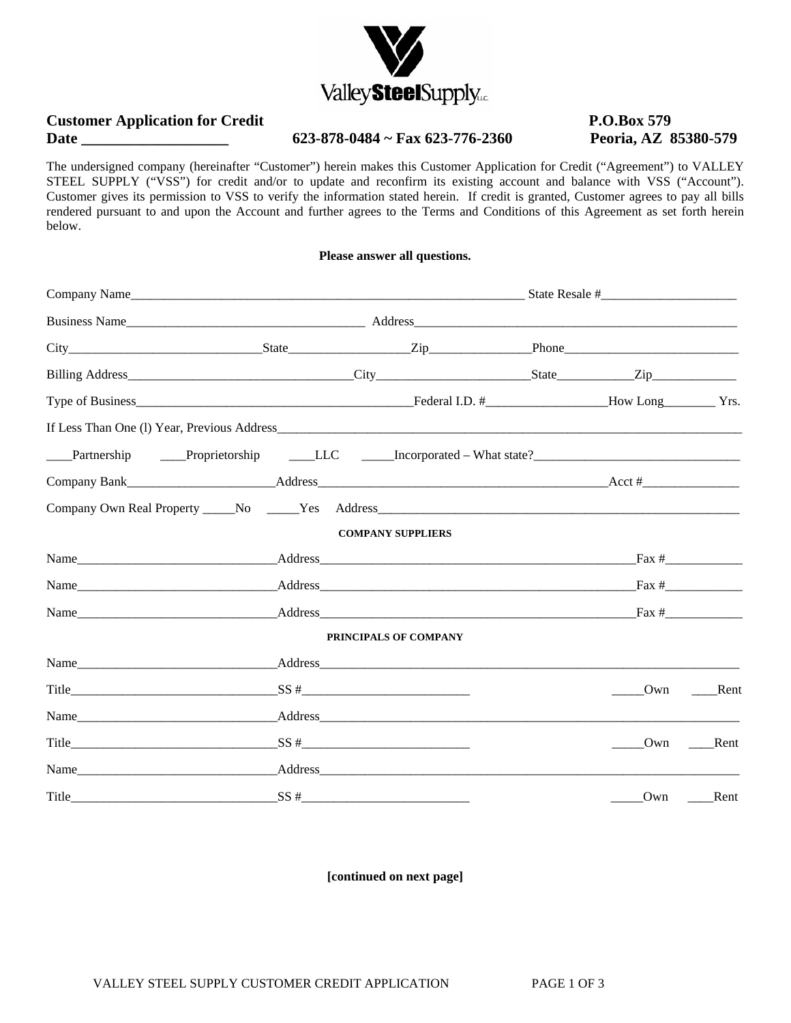

# **Customer Application for Credit P.O.Box 579** Date **Date** 623-878-0484 ~ Fax 623-776-2360 Peoria, AZ 85380-579

The undersigned company (hereinafter "Customer") herein makes this Customer Application for Credit ("Agreement") to VALLEY STEEL SUPPLY ("VSS") for credit and/or to update and reconfirm its existing account and balance with VSS ("Account"). Customer gives its permission to VSS to verify the information stated herein. If credit is granted, Customer agrees to pay all bills rendered pursuant to and upon the Account and further agrees to the Terms and Conditions of this Agreement as set forth herein below.

# **Please answer all questions.**

| Partnership Proprietorship LLC Incorporated – What state?                                                                                                                                                                      |  |                          |                      |                |
|--------------------------------------------------------------------------------------------------------------------------------------------------------------------------------------------------------------------------------|--|--------------------------|----------------------|----------------|
|                                                                                                                                                                                                                                |  |                          |                      |                |
|                                                                                                                                                                                                                                |  |                          |                      |                |
|                                                                                                                                                                                                                                |  | <b>COMPANY SUPPLIERS</b> |                      |                |
|                                                                                                                                                                                                                                |  |                          |                      | $\frac{Fax \#$ |
|                                                                                                                                                                                                                                |  |                          |                      |                |
| Name Fax # Reddess Reserves Address Rax # Reserves Reserves Rax # Reserves Rax # Reserves Rax # Reserves Rax # Reserves Rax # Reserves Rax # Reserves Rax # Reserves Rax # Reserves Rax # Reserves Rax # Reserves Rax # Reserv |  |                          |                      |                |
|                                                                                                                                                                                                                                |  | PRINCIPALS OF COMPANY    |                      |                |
|                                                                                                                                                                                                                                |  |                          |                      |                |
| Title $SS #$                                                                                                                                                                                                                   |  |                          | $\sqrt{\frac{1}{2}}$ | Rent           |
|                                                                                                                                                                                                                                |  |                          |                      |                |
|                                                                                                                                                                                                                                |  |                          | Own                  | Rent           |
|                                                                                                                                                                                                                                |  |                          |                      |                |
| S S #                                                                                                                                                                                                                          |  |                          | Own                  | Rent           |

**[continued on next page]**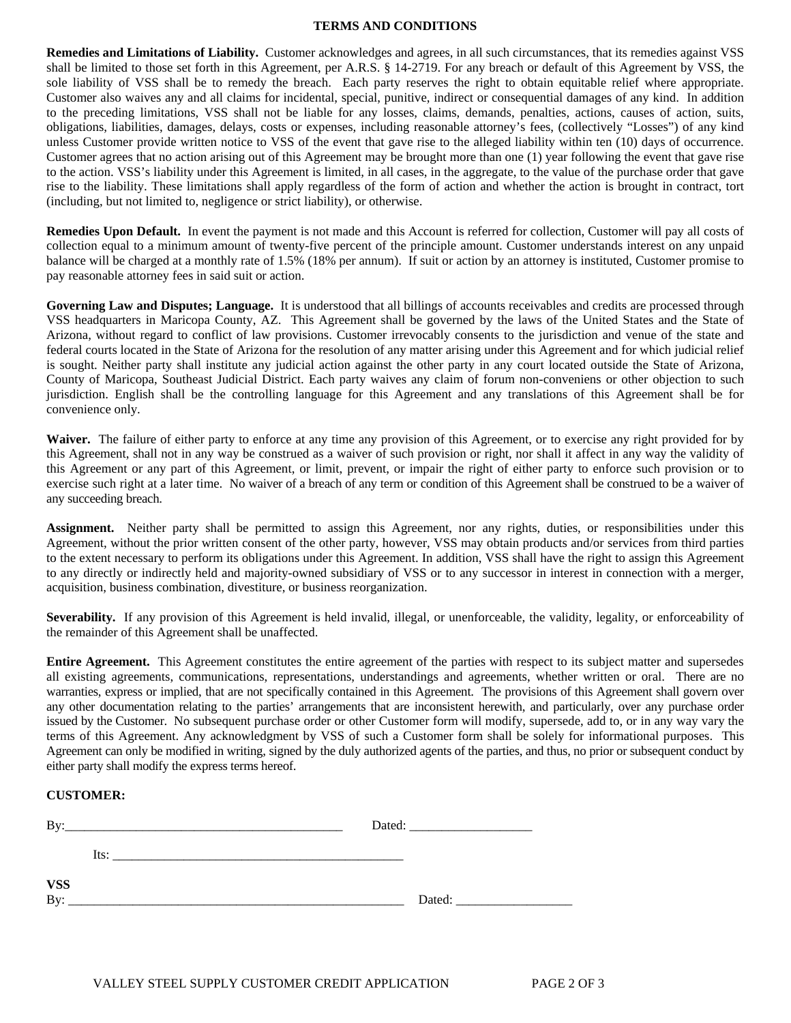### **TERMS AND CONDITIONS**

**Remedies and Limitations of Liability.** Customer acknowledges and agrees, in all such circumstances, that its remedies against VSS shall be limited to those set forth in this Agreement, per A.R.S. § 14-2719. For any breach or default of this Agreement by VSS, the sole liability of VSS shall be to remedy the breach. Each party reserves the right to obtain equitable relief where appropriate. Customer also waives any and all claims for incidental, special, punitive, indirect or consequential damages of any kind. In addition to the preceding limitations, VSS shall not be liable for any losses, claims, demands, penalties, actions, causes of action, suits, obligations, liabilities, damages, delays, costs or expenses, including reasonable attorney's fees, (collectively "Losses") of any kind unless Customer provide written notice to VSS of the event that gave rise to the alleged liability within ten (10) days of occurrence. Customer agrees that no action arising out of this Agreement may be brought more than one (1) year following the event that gave rise to the action. VSS's liability under this Agreement is limited, in all cases, in the aggregate, to the value of the purchase order that gave rise to the liability. These limitations shall apply regardless of the form of action and whether the action is brought in contract, tort (including, but not limited to, negligence or strict liability), or otherwise.

**Remedies Upon Default.** In event the payment is not made and this Account is referred for collection, Customer will pay all costs of collection equal to a minimum amount of twenty-five percent of the principle amount. Customer understands interest on any unpaid balance will be charged at a monthly rate of 1.5% (18% per annum). If suit or action by an attorney is instituted, Customer promise to pay reasonable attorney fees in said suit or action.

**Governing Law and Disputes; Language.** It is understood that all billings of accounts receivables and credits are processed through VSS headquarters in Maricopa County, AZ. This Agreement shall be governed by the laws of the United States and the State of Arizona, without regard to conflict of law provisions. Customer irrevocably consents to the jurisdiction and venue of the state and federal courts located in the State of Arizona for the resolution of any matter arising under this Agreement and for which judicial relief is sought. Neither party shall institute any judicial action against the other party in any court located outside the State of Arizona, County of Maricopa, Southeast Judicial District. Each party waives any claim of forum non-conveniens or other objection to such jurisdiction. English shall be the controlling language for this Agreement and any translations of this Agreement shall be for convenience only.

**Waiver.** The failure of either party to enforce at any time any provision of this Agreement, or to exercise any right provided for by this Agreement, shall not in any way be construed as a waiver of such provision or right, nor shall it affect in any way the validity of this Agreement or any part of this Agreement, or limit, prevent, or impair the right of either party to enforce such provision or to exercise such right at a later time. No waiver of a breach of any term or condition of this Agreement shall be construed to be a waiver of any succeeding breach.

**Assignment.** Neither party shall be permitted to assign this Agreement, nor any rights, duties, or responsibilities under this Agreement, without the prior written consent of the other party, however, VSS may obtain products and/or services from third parties to the extent necessary to perform its obligations under this Agreement. In addition, VSS shall have the right to assign this Agreement to any directly or indirectly held and majority-owned subsidiary of VSS or to any successor in interest in connection with a merger, acquisition, business combination, divestiture, or business reorganization.

Severability. If any provision of this Agreement is held invalid, illegal, or unenforceable, the validity, legality, or enforceability of the remainder of this Agreement shall be unaffected.

**Entire Agreement.** This Agreement constitutes the entire agreement of the parties with respect to its subject matter and supersedes all existing agreements, communications, representations, understandings and agreements, whether written or oral. There are no warranties, express or implied, that are not specifically contained in this Agreement. The provisions of this Agreement shall govern over any other documentation relating to the parties' arrangements that are inconsistent herewith, and particularly, over any purchase order issued by the Customer. No subsequent purchase order or other Customer form will modify, supersede, add to, or in any way vary the terms of this Agreement. Any acknowledgment by VSS of such a Customer form shall be solely for informational purposes. This Agreement can only be modified in writing, signed by the duly authorized agents of the parties, and thus, no prior or subsequent conduct by either party shall modify the express terms hereof.

# **CUSTOMER:**

| By:          |      |        |
|--------------|------|--------|
|              | Its: |        |
| $VSS$<br>By: |      |        |
|              |      | Dated: |